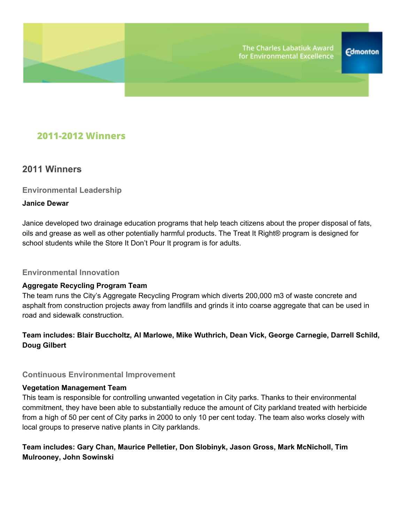

# **2011-2012 Winners**

# **2011 Winners**

# **Environmental Leadership**

### **Janice Dewar**

Janice developed two drainage education programs that help teach citizens about the proper disposal of fats, oils and grease as well as other potentially harmful products. The Treat It Right® program is designed for school students while the Store It Don't Pour It program is for adults.

### **Environmental Innovation**

### **Aggregate Recycling Program Team**

The team runs the City's Aggregate Recycling Program which diverts 200,000 m3 of waste concrete and asphalt from construction projects away from landfills and grinds it into coarse aggregate that can be used in road and sidewalk construction.

# **Team includes: Blair Buccholtz, Al Marlowe, Mike Wuthrich, Dean Vick, George Carnegie, Darrell Schild, Doug Gilbert**

### **Continuous Environmental Improvement**

### **Vegetation Management Team**

This team is responsible for controlling unwanted vegetation in City parks. Thanks to their environmental commitment, they have been able to substantially reduce the amount of City parkland treated with herbicide from a high of 50 per cent of City parks in 2000 to only 10 per cent today. The team also works closely with local groups to preserve native plants in City parklands.

# **Team includes: Gary Chan, Maurice Pelletier, Don Slobinyk, Jason Gross, Mark McNicholl, Tim Mulrooney, John Sowinski**